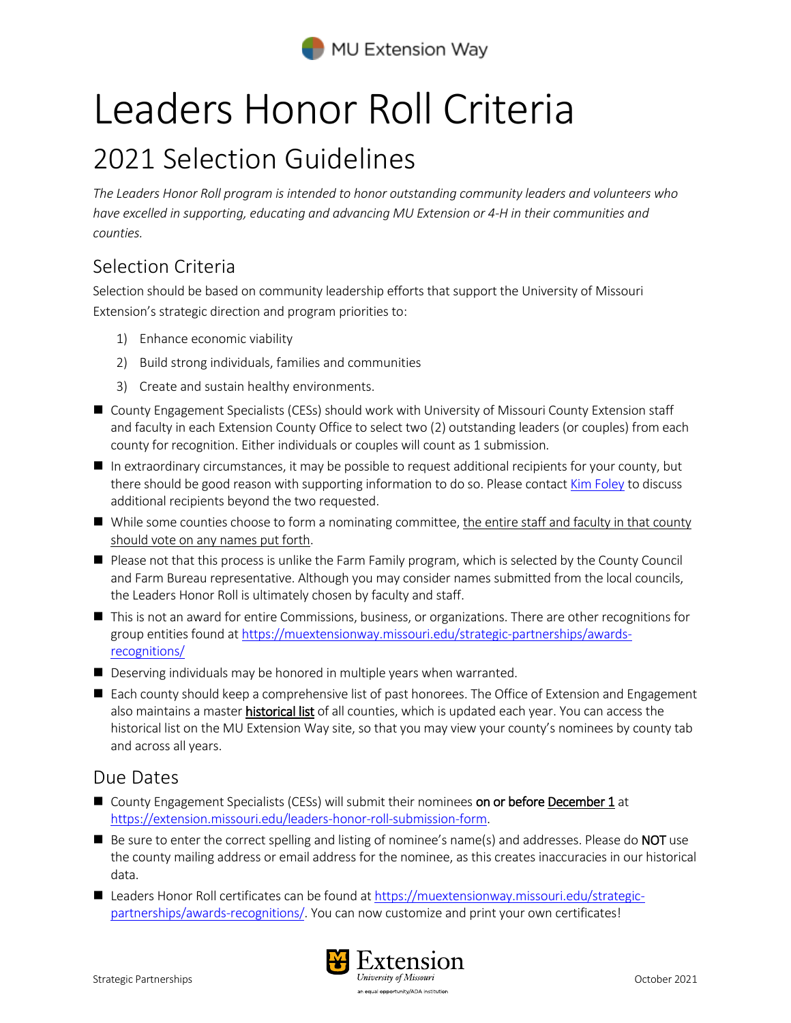

# Leaders Honor Roll Criteria

## 2021 Selection Guidelines

*The Leaders Honor Roll program is intended to honor outstanding community leaders and volunteers who have excelled in supporting, educating and advancing MU Extension or 4-H in their communities and counties.* 

### Selection Criteria

Selection should be based on community leadership efforts that support the University of Missouri Extension's strategic direction and program priorities to:

- 1) Enhance economic viability
- 2) Build strong individuals, families and communities
- 3) Create and sustain healthy environments.
- County Engagement Specialists (CESs) should work with University of Missouri County Extension staff and faculty in each Extension County Office to select two (2) outstanding leaders (or couples) from each county for recognition. Either individuals or couples will count as 1 submission.
- In extraordinary circumstances, it may be possible to request additional recipients for your county, but there should be good reason with supporting information to do so. Please contac[t Kim Foley](mailto:foleyk@missouri.edu) to discuss additional recipients beyond the two requested.
- While some counties choose to form a nominating committee, the entire staff and faculty in that county should vote on any names put forth.
- **Please not that this process is unlike the Farm Family program, which is selected by the County Council** and Farm Bureau representative. Although you may consider names submitted from the local councils, the Leaders Honor Roll is ultimately chosen by faculty and staff.
- This is not an award for entire Commissions, business, or organizations. There are other recognitions for group entities found at [https://muextensionway.missouri.edu/strategic-partnerships/awards](https://muextensionway.missouri.edu/strategic-partnerships/awards-recognitions/)[recognitions/](https://muextensionway.missouri.edu/strategic-partnerships/awards-recognitions/)
- Deserving individuals may be honored in multiple years when warranted.
- Each county should keep a comprehensive list of past honorees. The Office of Extension and Engagement also maintains a master **historical list** of all counties, which is updated each year. You can access the historical list on the MU Extension Way site, so that you may view your county's nominees by county tab and across all years.

#### Due Dates

- County Engagement Specialists (CESs) will submit their nominees on or before December 1 at [https://extension.missouri.edu/leaders-honor-roll-submission-form.](https://extension.missouri.edu/leaders-honor-roll-submission-form)
- $\blacksquare$  Be sure to enter the correct spelling and listing of nominee's name(s) and addresses. Please do **NOT** use the county mailing address or email address for the nominee, as this creates inaccuracies in our historical data.
- Leaders Honor Roll certificates can be found at [https://muextensionway.missouri.edu/strategic](https://muextensionway.missouri.edu/strategic-partnerships/awards-recognitions/)[partnerships/awards-recognitions/.](https://muextensionway.missouri.edu/strategic-partnerships/awards-recognitions/) You can now customize and print your own certificates!